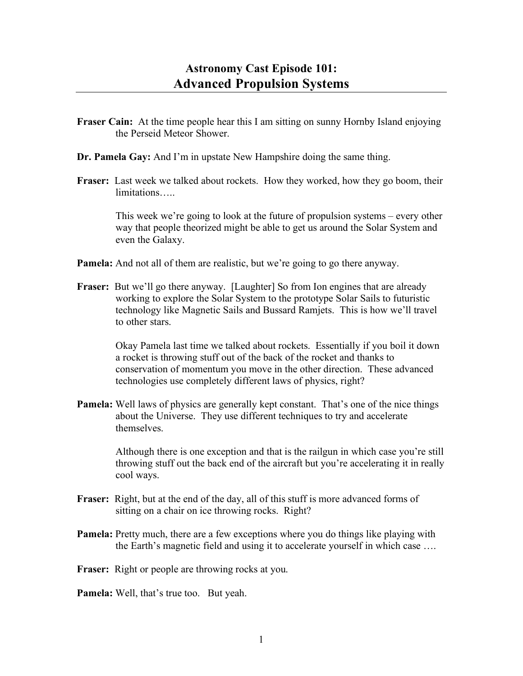- **Fraser Cain:** At the time people hear this I am sitting on sunny Hornby Island enjoying the Perseid Meteor Shower.
- **Dr. Pamela Gay:** And I'm in upstate New Hampshire doing the same thing.
- **Fraser:** Last week we talked about rockets. How they worked, how they go boom, their limitations…..

This week we're going to look at the future of propulsion systems – every other way that people theorized might be able to get us around the Solar System and even the Galaxy.

- **Pamela:** And not all of them are realistic, but we're going to go there anyway.
- **Fraser:** But we'll go there anyway. [Laughter] So from Ion engines that are already working to explore the Solar System to the prototype Solar Sails to futuristic technology like Magnetic Sails and Bussard Ramjets. This is how we'll travel to other stars.

Okay Pamela last time we talked about rockets. Essentially if you boil it down a rocket is throwing stuff out of the back of the rocket and thanks to conservation of momentum you move in the other direction. These advanced technologies use completely different laws of physics, right?

**Pamela:** Well laws of physics are generally kept constant. That's one of the nice things about the Universe. They use different techniques to try and accelerate themselves.

> Although there is one exception and that is the railgun in which case you're still throwing stuff out the back end of the aircraft but you're accelerating it in really cool ways.

- **Fraser:** Right, but at the end of the day, all of this stuff is more advanced forms of sitting on a chair on ice throwing rocks. Right?
- **Pamela:** Pretty much, there are a few exceptions where you do things like playing with the Earth's magnetic field and using it to accelerate yourself in which case ….
- **Fraser:** Right or people are throwing rocks at you.
- **Pamela:** Well, that's true too. But yeah.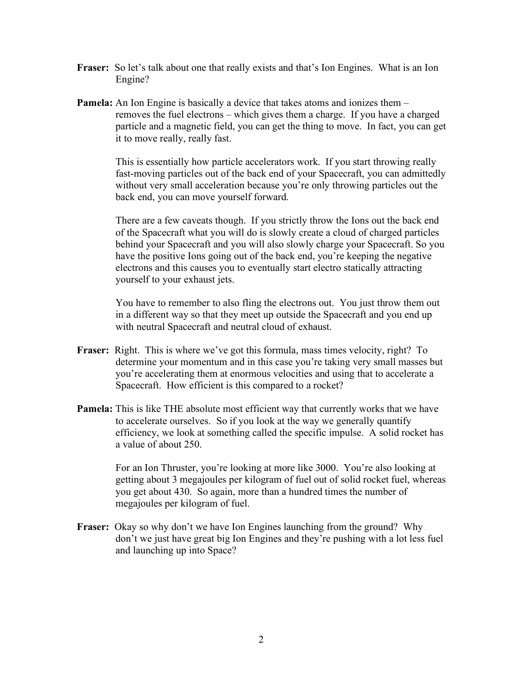- **Fraser:** So let's talk about one that really exists and that's Ion Engines. What is an Ion Engine?
- **Pamela:** An Ion Engine is basically a device that takes atoms and ionizes them removes the fuel electrons – which gives them a charge. If you have a charged particle and a magnetic field, you can get the thing to move. In fact, you can get it to move really, really fast.

This is essentially how particle accelerators work. If you start throwing really fast-moving particles out of the back end of your Spacecraft, you can admittedly without very small acceleration because you're only throwing particles out the back end, you can move yourself forward.

There are a few caveats though. If you strictly throw the Ions out the back end of the Spacecraft what you will do is slowly create a cloud of charged particles behind your Spacecraft and you will also slowly charge your Spacecraft. So you have the positive Ions going out of the back end, you're keeping the negative electrons and this causes you to eventually start electro statically attracting yourself to your exhaust jets.

You have to remember to also fling the electrons out. You just throw them out in a different way so that they meet up outside the Spacecraft and you end up with neutral Spacecraft and neutral cloud of exhaust.

- **Fraser:** Right. This is where we've got this formula, mass times velocity, right? To determine your momentum and in this case you're taking very small masses but you're accelerating them at enormous velocities and using that to accelerate a Spacecraft. How efficient is this compared to a rocket?
- **Pamela:** This is like THE absolute most efficient way that currently works that we have to accelerate ourselves. So if you look at the way we generally quantify efficiency, we look at something called the specific impulse. A solid rocket has a value of about 250.

For an Ion Thruster, you're looking at more like 3000. You're also looking at getting about 3 megajoules per kilogram of fuel out of solid rocket fuel, whereas you get about 430. So again, more than a hundred times the number of megajoules per kilogram of fuel.

**Fraser:** Okay so why don't we have Ion Engines launching from the ground? Why don't we just have great big Ion Engines and they're pushing with a lot less fuel and launching up into Space?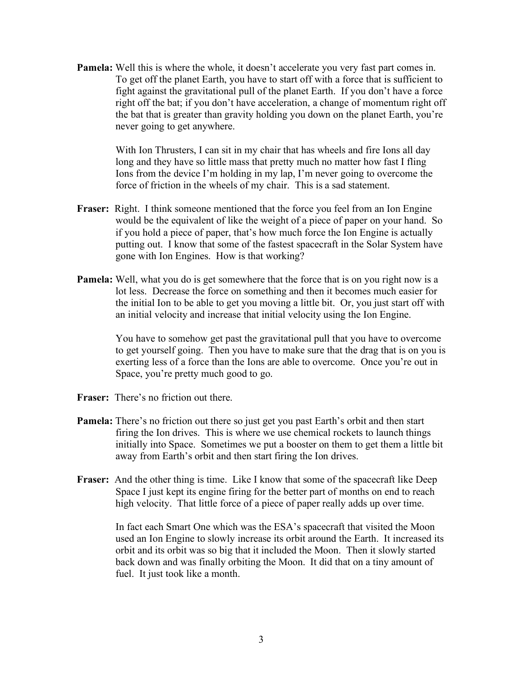**Pamela:** Well this is where the whole, it doesn't accelerate you very fast part comes in. To get off the planet Earth, you have to start off with a force that is sufficient to fight against the gravitational pull of the planet Earth. If you don't have a force right off the bat; if you don't have acceleration, a change of momentum right off the bat that is greater than gravity holding you down on the planet Earth, you're never going to get anywhere.

> With Ion Thrusters, I can sit in my chair that has wheels and fire Ions all day long and they have so little mass that pretty much no matter how fast I fling Ions from the device I'm holding in my lap, I'm never going to overcome the force of friction in the wheels of my chair. This is a sad statement.

- **Fraser:** Right. I think someone mentioned that the force you feel from an Ion Engine would be the equivalent of like the weight of a piece of paper on your hand. So if you hold a piece of paper, that's how much force the Ion Engine is actually putting out. I know that some of the fastest spacecraft in the Solar System have gone with Ion Engines. How is that working?
- **Pamela:** Well, what you do is get somewhere that the force that is on you right now is a lot less. Decrease the force on something and then it becomes much easier for the initial Ion to be able to get you moving a little bit. Or, you just start off with an initial velocity and increase that initial velocity using the Ion Engine.

You have to somehow get past the gravitational pull that you have to overcome to get yourself going. Then you have to make sure that the drag that is on you is exerting less of a force than the Ions are able to overcome. Once you're out in Space, you're pretty much good to go.

- **Fraser:** There's no friction out there.
- **Pamela:** There's no friction out there so just get you past Earth's orbit and then start firing the Ion drives. This is where we use chemical rockets to launch things initially into Space. Sometimes we put a booster on them to get them a little bit away from Earth's orbit and then start firing the Ion drives.
- **Fraser:** And the other thing is time. Like I know that some of the spacecraft like Deep Space I just kept its engine firing for the better part of months on end to reach high velocity. That little force of a piece of paper really adds up over time.

In fact each Smart One which was the ESA's spacecraft that visited the Moon used an Ion Engine to slowly increase its orbit around the Earth. It increased its orbit and its orbit was so big that it included the Moon. Then it slowly started back down and was finally orbiting the Moon. It did that on a tiny amount of fuel. It just took like a month.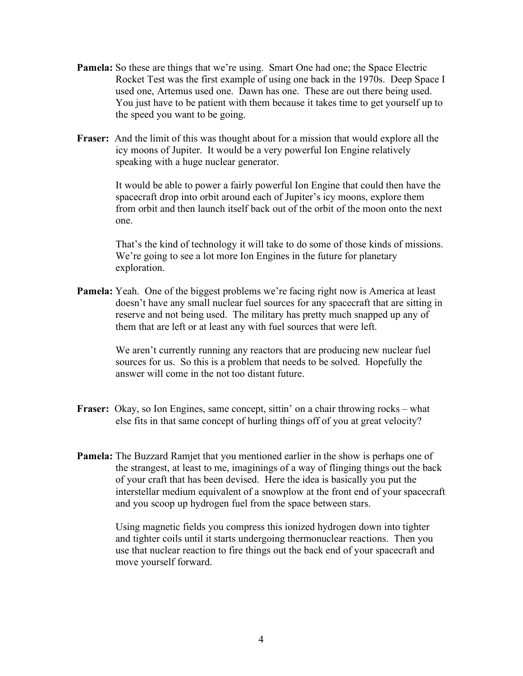- **Pamela:** So these are things that we're using. Smart One had one; the Space Electric Rocket Test was the first example of using one back in the 1970s. Deep Space I used one, Artemus used one. Dawn has one. These are out there being used. You just have to be patient with them because it takes time to get yourself up to the speed you want to be going.
- **Fraser:** And the limit of this was thought about for a mission that would explore all the icy moons of Jupiter. It would be a very powerful Ion Engine relatively speaking with a huge nuclear generator.

It would be able to power a fairly powerful Ion Engine that could then have the spacecraft drop into orbit around each of Jupiter's icy moons, explore them from orbit and then launch itself back out of the orbit of the moon onto the next one.

That's the kind of technology it will take to do some of those kinds of missions. We're going to see a lot more Ion Engines in the future for planetary exploration.

**Pamela:** Yeah. One of the biggest problems we're facing right now is America at least doesn't have any small nuclear fuel sources for any spacecraft that are sitting in reserve and not being used. The military has pretty much snapped up any of them that are left or at least any with fuel sources that were left.

> We aren't currently running any reactors that are producing new nuclear fuel sources for us. So this is a problem that needs to be solved. Hopefully the answer will come in the not too distant future.

- **Fraser:** Okay, so Ion Engines, same concept, sittin' on a chair throwing rocks what else fits in that same concept of hurling things off of you at great velocity?
- **Pamela:** The Buzzard Ramjet that you mentioned earlier in the show is perhaps one of the strangest, at least to me, imaginings of a way of flinging things out the back of your craft that has been devised. Here the idea is basically you put the interstellar medium equivalent of a snowplow at the front end of your spacecraft and you scoop up hydrogen fuel from the space between stars.

Using magnetic fields you compress this ionized hydrogen down into tighter and tighter coils until it starts undergoing thermonuclear reactions. Then you use that nuclear reaction to fire things out the back end of your spacecraft and move yourself forward.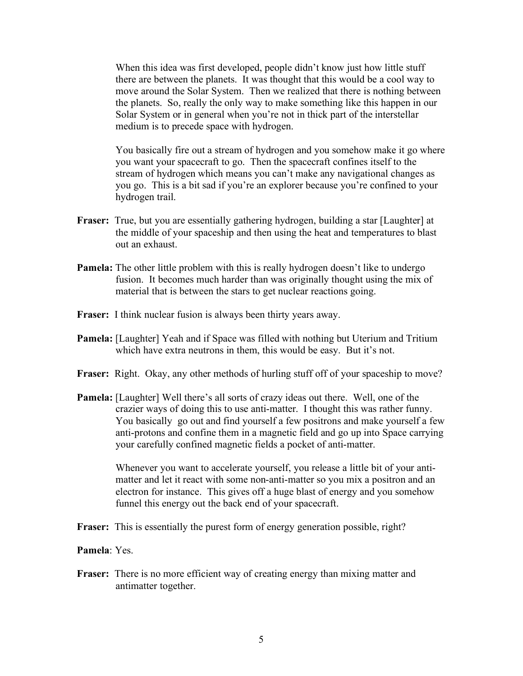When this idea was first developed, people didn't know just how little stuff there are between the planets. It was thought that this would be a cool way to move around the Solar System. Then we realized that there is nothing between the planets. So, really the only way to make something like this happen in our Solar System or in general when you're not in thick part of the interstellar medium is to precede space with hydrogen.

You basically fire out a stream of hydrogen and you somehow make it go where you want your spacecraft to go. Then the spacecraft confines itself to the stream of hydrogen which means you can't make any navigational changes as you go. This is a bit sad if you're an explorer because you're confined to your hydrogen trail.

- **Fraser:** True, but you are essentially gathering hydrogen, building a star [Laughter] at the middle of your spaceship and then using the heat and temperatures to blast out an exhaust.
- **Pamela:** The other little problem with this is really hydrogen doesn't like to undergo fusion. It becomes much harder than was originally thought using the mix of material that is between the stars to get nuclear reactions going.
- **Fraser:** I think nuclear fusion is always been thirty years away.
- **Pamela:** [Laughter] Yeah and if Space was filled with nothing but Uterium and Tritium which have extra neutrons in them, this would be easy. But it's not.
- **Fraser:** Right. Okay, any other methods of hurling stuff off of your spaceship to move?
- **Pamela:** [Laughter] Well there's all sorts of crazy ideas out there. Well, one of the crazier ways of doing this to use anti-matter. I thought this was rather funny. You basically go out and find yourself a few positrons and make yourself a few anti-protons and confine them in a magnetic field and go up into Space carrying your carefully confined magnetic fields a pocket of anti-matter.

Whenever you want to accelerate yourself, you release a little bit of your antimatter and let it react with some non-anti-matter so you mix a positron and an electron for instance. This gives off a huge blast of energy and you somehow funnel this energy out the back end of your spacecraft.

**Fraser:** This is essentially the purest form of energy generation possible, right?

**Pamela**: Yes.

**Fraser:** There is no more efficient way of creating energy than mixing matter and antimatter together.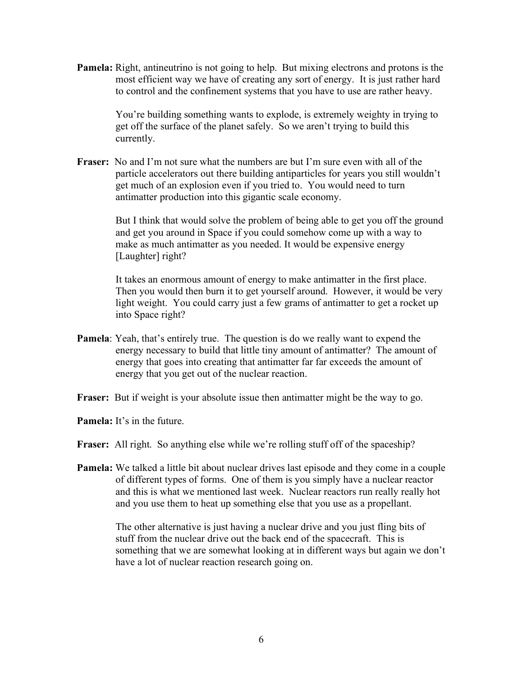**Pamela:** Right, antineutrino is not going to help. But mixing electrons and protons is the most efficient way we have of creating any sort of energy. It is just rather hard to control and the confinement systems that you have to use are rather heavy.

> You're building something wants to explode, is extremely weighty in trying to get off the surface of the planet safely. So we aren't trying to build this currently.

**Fraser:** No and I'm not sure what the numbers are but I'm sure even with all of the particle accelerators out there building antiparticles for years you still wouldn't get much of an explosion even if you tried to. You would need to turn antimatter production into this gigantic scale economy.

> But I think that would solve the problem of being able to get you off the ground and get you around in Space if you could somehow come up with a way to make as much antimatter as you needed. It would be expensive energy [Laughter] right?

> It takes an enormous amount of energy to make antimatter in the first place. Then you would then burn it to get yourself around. However, it would be very light weight. You could carry just a few grams of antimatter to get a rocket up into Space right?

- **Pamela**: Yeah, that's entirely true. The question is do we really want to expend the energy necessary to build that little tiny amount of antimatter? The amount of energy that goes into creating that antimatter far far exceeds the amount of energy that you get out of the nuclear reaction.
- **Fraser:** But if weight is your absolute issue then antimatter might be the way to go.
- **Pamela:** It's in the future.
- **Fraser:** All right. So anything else while we're rolling stuff off of the spaceship?
- **Pamela:** We talked a little bit about nuclear drives last episode and they come in a couple of different types of forms. One of them is you simply have a nuclear reactor and this is what we mentioned last week. Nuclear reactors run really really hot and you use them to heat up something else that you use as a propellant.

The other alternative is just having a nuclear drive and you just fling bits of stuff from the nuclear drive out the back end of the spacecraft. This is something that we are somewhat looking at in different ways but again we don't have a lot of nuclear reaction research going on.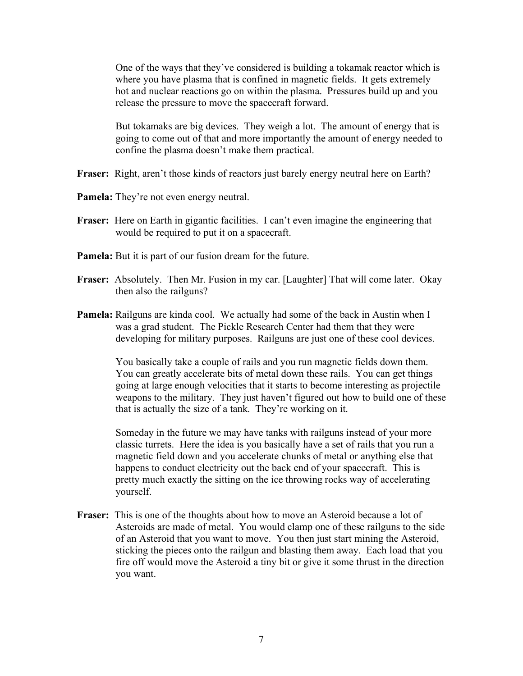One of the ways that they've considered is building a tokamak reactor which is where you have plasma that is confined in magnetic fields. It gets extremely hot and nuclear reactions go on within the plasma. Pressures build up and you release the pressure to move the spacecraft forward.

But tokamaks are big devices. They weigh a lot. The amount of energy that is going to come out of that and more importantly the amount of energy needed to confine the plasma doesn't make them practical.

- **Fraser:** Right, aren't those kinds of reactors just barely energy neutral here on Earth?
- **Pamela:** They're not even energy neutral.
- **Fraser:** Here on Earth in gigantic facilities. I can't even imagine the engineering that would be required to put it on a spacecraft.
- **Pamela:** But it is part of our fusion dream for the future.
- **Fraser:** Absolutely. Then Mr. Fusion in my car. [Laughter] That will come later. Okay then also the railguns?
- **Pamela:** Railguns are kinda cool. We actually had some of the back in Austin when I was a grad student. The Pickle Research Center had them that they were developing for military purposes. Railguns are just one of these cool devices.

You basically take a couple of rails and you run magnetic fields down them. You can greatly accelerate bits of metal down these rails. You can get things going at large enough velocities that it starts to become interesting as projectile weapons to the military. They just haven't figured out how to build one of these that is actually the size of a tank. They're working on it.

Someday in the future we may have tanks with railguns instead of your more classic turrets. Here the idea is you basically have a set of rails that you run a magnetic field down and you accelerate chunks of metal or anything else that happens to conduct electricity out the back end of your spacecraft. This is pretty much exactly the sitting on the ice throwing rocks way of accelerating yourself.

**Fraser:** This is one of the thoughts about how to move an Asteroid because a lot of Asteroids are made of metal. You would clamp one of these railguns to the side of an Asteroid that you want to move. You then just start mining the Asteroid, sticking the pieces onto the railgun and blasting them away. Each load that you fire off would move the Asteroid a tiny bit or give it some thrust in the direction you want.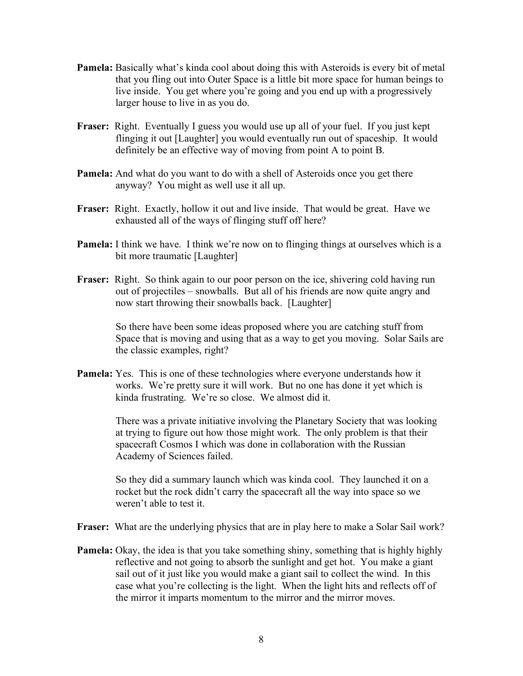- **Pamela:** Basically what's kinda cool about doing this with Asteroids is every bit of metal that you fling out into Outer Space is a little bit more space for human beings to live inside. You get where you're going and you end up with a progressively larger house to live in as you do.
- **Fraser:** Right. Eventually I guess you would use up all of your fuel. If you just kept flinging it out [Laughter] you would eventually run out of spaceship. It would definitely be an effective way of moving from point A to point B.
- **Pamela:** And what do you want to do with a shell of Asteroids once you get there anyway? You might as well use it all up.
- **Fraser:** Right. Exactly, hollow it out and live inside. That would be great. Have we exhausted all of the ways of flinging stuff off here?
- **Pamela:** I think we have. I think we're now on to flinging things at ourselves which is a bit more traumatic [Laughter]
- **Fraser:** Right. So think again to our poor person on the ice, shivering cold having run out of projectiles – snowballs. But all of his friends are now quite angry and now start throwing their snowballs back. [Laughter]

So there have been some ideas proposed where you are catching stuff from Space that is moving and using that as a way to get you moving. Solar Sails are the classic examples, right?

**Pamela:** Yes. This is one of these technologies where everyone understands how it works. We're pretty sure it will work. But no one has done it yet which is kinda frustrating. We're so close. We almost did it.

> There was a private initiative involving the Planetary Society that was looking at trying to figure out how those might work. The only problem is that their spacecraft Cosmos I which was done in collaboration with the Russian Academy of Sciences failed.

So they did a summary launch which was kinda cool. They launched it on a rocket but the rock didn't carry the spacecraft all the way into space so we weren't able to test it.

- **Fraser:** What are the underlying physics that are in play here to make a Solar Sail work?
- **Pamela:** Okay, the idea is that you take something shiny, something that is highly highly reflective and not going to absorb the sunlight and get hot. You make a giant sail out of it just like you would make a giant sail to collect the wind. In this case what you're collecting is the light. When the light hits and reflects off of the mirror it imparts momentum to the mirror and the mirror moves.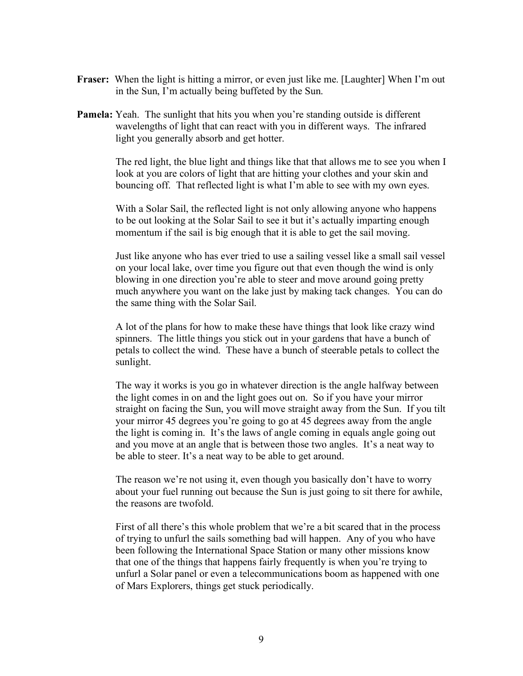- **Fraser:** When the light is hitting a mirror, or even just like me. [Laughter] When I'm out in the Sun, I'm actually being buffeted by the Sun.
- **Pamela:** Yeah. The sunlight that hits you when you're standing outside is different wavelengths of light that can react with you in different ways. The infrared light you generally absorb and get hotter.

The red light, the blue light and things like that that allows me to see you when I look at you are colors of light that are hitting your clothes and your skin and bouncing off. That reflected light is what I'm able to see with my own eyes.

With a Solar Sail, the reflected light is not only allowing anyone who happens to be out looking at the Solar Sail to see it but it's actually imparting enough momentum if the sail is big enough that it is able to get the sail moving.

Just like anyone who has ever tried to use a sailing vessel like a small sail vessel on your local lake, over time you figure out that even though the wind is only blowing in one direction you're able to steer and move around going pretty much anywhere you want on the lake just by making tack changes. You can do the same thing with the Solar Sail.

A lot of the plans for how to make these have things that look like crazy wind spinners. The little things you stick out in your gardens that have a bunch of petals to collect the wind. These have a bunch of steerable petals to collect the sunlight.

The way it works is you go in whatever direction is the angle halfway between the light comes in on and the light goes out on. So if you have your mirror straight on facing the Sun, you will move straight away from the Sun. If you tilt your mirror 45 degrees you're going to go at 45 degrees away from the angle the light is coming in. It's the laws of angle coming in equals angle going out and you move at an angle that is between those two angles. It's a neat way to be able to steer. It's a neat way to be able to get around.

The reason we're not using it, even though you basically don't have to worry about your fuel running out because the Sun is just going to sit there for awhile, the reasons are twofold.

First of all there's this whole problem that we're a bit scared that in the process of trying to unfurl the sails something bad will happen. Any of you who have been following the International Space Station or many other missions know that one of the things that happens fairly frequently is when you're trying to unfurl a Solar panel or even a telecommunications boom as happened with one of Mars Explorers, things get stuck periodically.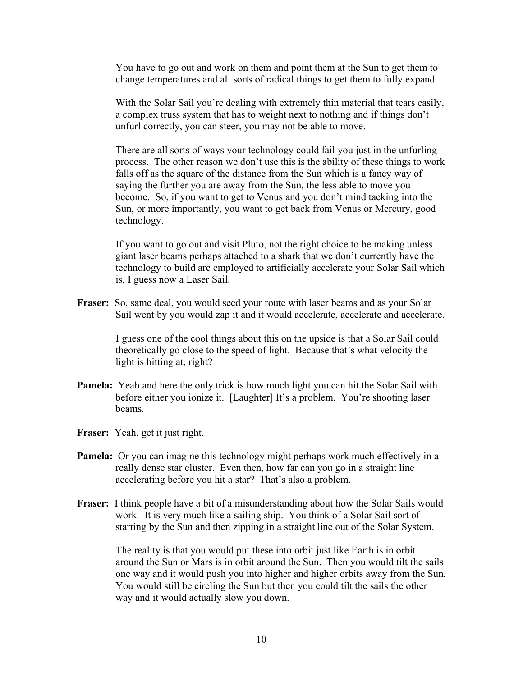You have to go out and work on them and point them at the Sun to get them to change temperatures and all sorts of radical things to get them to fully expand.

With the Solar Sail you're dealing with extremely thin material that tears easily, a complex truss system that has to weight next to nothing and if things don't unfurl correctly, you can steer, you may not be able to move.

There are all sorts of ways your technology could fail you just in the unfurling process. The other reason we don't use this is the ability of these things to work falls off as the square of the distance from the Sun which is a fancy way of saying the further you are away from the Sun, the less able to move you become. So, if you want to get to Venus and you don't mind tacking into the Sun, or more importantly, you want to get back from Venus or Mercury, good technology.

If you want to go out and visit Pluto, not the right choice to be making unless giant laser beams perhaps attached to a shark that we don't currently have the technology to build are employed to artificially accelerate your Solar Sail which is, I guess now a Laser Sail.

**Fraser:** So, same deal, you would seed your route with laser beams and as your Solar Sail went by you would zap it and it would accelerate, accelerate and accelerate.

> I guess one of the cool things about this on the upside is that a Solar Sail could theoretically go close to the speed of light. Because that's what velocity the light is hitting at, right?

- **Pamela:** Yeah and here the only trick is how much light you can hit the Solar Sail with before either you ionize it. [Laughter] It's a problem. You're shooting laser beams.
- **Fraser:** Yeah, get it just right.
- **Pamela:** Or you can imagine this technology might perhaps work much effectively in a really dense star cluster. Even then, how far can you go in a straight line accelerating before you hit a star? That's also a problem.
- **Fraser:** I think people have a bit of a misunderstanding about how the Solar Sails would work. It is very much like a sailing ship. You think of a Solar Sail sort of starting by the Sun and then zipping in a straight line out of the Solar System.

The reality is that you would put these into orbit just like Earth is in orbit around the Sun or Mars is in orbit around the Sun. Then you would tilt the sails one way and it would push you into higher and higher orbits away from the Sun. You would still be circling the Sun but then you could tilt the sails the other way and it would actually slow you down.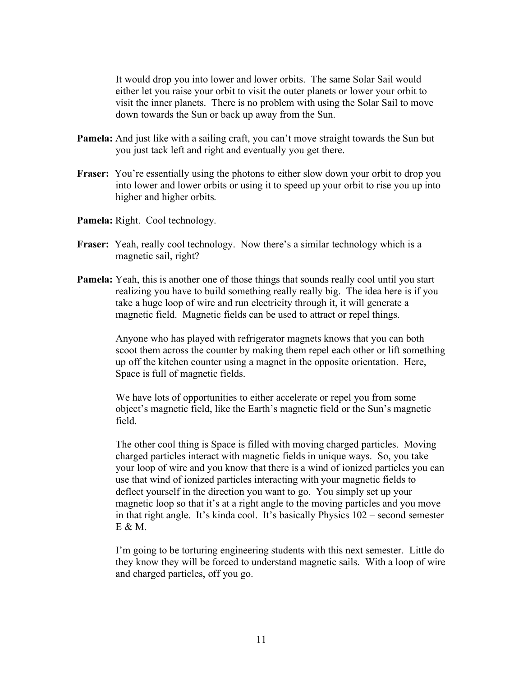It would drop you into lower and lower orbits. The same Solar Sail would either let you raise your orbit to visit the outer planets or lower your orbit to visit the inner planets. There is no problem with using the Solar Sail to move down towards the Sun or back up away from the Sun.

- **Pamela:** And just like with a sailing craft, you can't move straight towards the Sun but you just tack left and right and eventually you get there.
- **Fraser:** You're essentially using the photons to either slow down your orbit to drop you into lower and lower orbits or using it to speed up your orbit to rise you up into higher and higher orbits.
- **Pamela:** Right. Cool technology.
- **Fraser:** Yeah, really cool technology. Now there's a similar technology which is a magnetic sail, right?
- **Pamela:** Yeah, this is another one of those things that sounds really cool until you start realizing you have to build something really really big. The idea here is if you take a huge loop of wire and run electricity through it, it will generate a magnetic field. Magnetic fields can be used to attract or repel things.

Anyone who has played with refrigerator magnets knows that you can both scoot them across the counter by making them repel each other or lift something up off the kitchen counter using a magnet in the opposite orientation. Here, Space is full of magnetic fields.

We have lots of opportunities to either accelerate or repel you from some object's magnetic field, like the Earth's magnetic field or the Sun's magnetic field.

The other cool thing is Space is filled with moving charged particles. Moving charged particles interact with magnetic fields in unique ways. So, you take your loop of wire and you know that there is a wind of ionized particles you can use that wind of ionized particles interacting with your magnetic fields to deflect yourself in the direction you want to go. You simply set up your magnetic loop so that it's at a right angle to the moving particles and you move in that right angle. It's kinda cool. It's basically Physics 102 – second semester E & M.

I'm going to be torturing engineering students with this next semester. Little do they know they will be forced to understand magnetic sails. With a loop of wire and charged particles, off you go.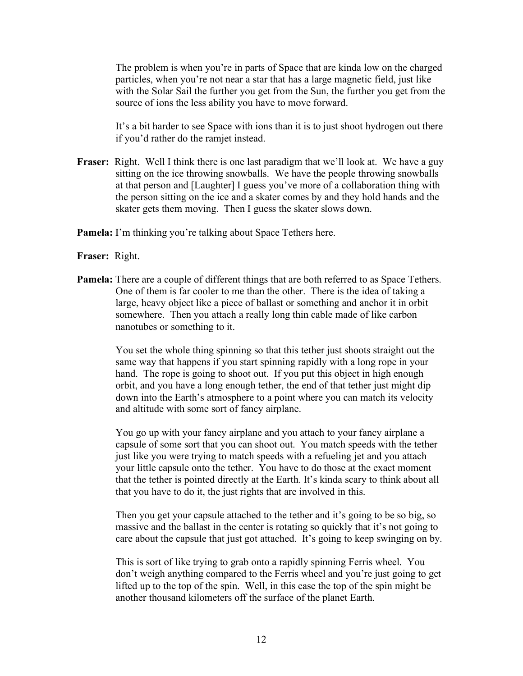The problem is when you're in parts of Space that are kinda low on the charged particles, when you're not near a star that has a large magnetic field, just like with the Solar Sail the further you get from the Sun, the further you get from the source of ions the less ability you have to move forward.

It's a bit harder to see Space with ions than it is to just shoot hydrogen out there if you'd rather do the ramjet instead.

**Fraser:** Right. Well I think there is one last paradigm that we'll look at. We have a guy sitting on the ice throwing snowballs. We have the people throwing snowballs at that person and [Laughter] I guess you've more of a collaboration thing with the person sitting on the ice and a skater comes by and they hold hands and the skater gets them moving. Then I guess the skater slows down.

**Pamela:** I'm thinking you're talking about Space Tethers here.

## **Fraser:** Right.

**Pamela:** There are a couple of different things that are both referred to as Space Tethers. One of them is far cooler to me than the other. There is the idea of taking a large, heavy object like a piece of ballast or something and anchor it in orbit somewhere. Then you attach a really long thin cable made of like carbon nanotubes or something to it.

> You set the whole thing spinning so that this tether just shoots straight out the same way that happens if you start spinning rapidly with a long rope in your hand. The rope is going to shoot out. If you put this object in high enough orbit, and you have a long enough tether, the end of that tether just might dip down into the Earth's atmosphere to a point where you can match its velocity and altitude with some sort of fancy airplane.

You go up with your fancy airplane and you attach to your fancy airplane a capsule of some sort that you can shoot out. You match speeds with the tether just like you were trying to match speeds with a refueling jet and you attach your little capsule onto the tether. You have to do those at the exact moment that the tether is pointed directly at the Earth. It's kinda scary to think about all that you have to do it, the just rights that are involved in this.

Then you get your capsule attached to the tether and it's going to be so big, so massive and the ballast in the center is rotating so quickly that it's not going to care about the capsule that just got attached. It's going to keep swinging on by.

This is sort of like trying to grab onto a rapidly spinning Ferris wheel. You don't weigh anything compared to the Ferris wheel and you're just going to get lifted up to the top of the spin. Well, in this case the top of the spin might be another thousand kilometers off the surface of the planet Earth.